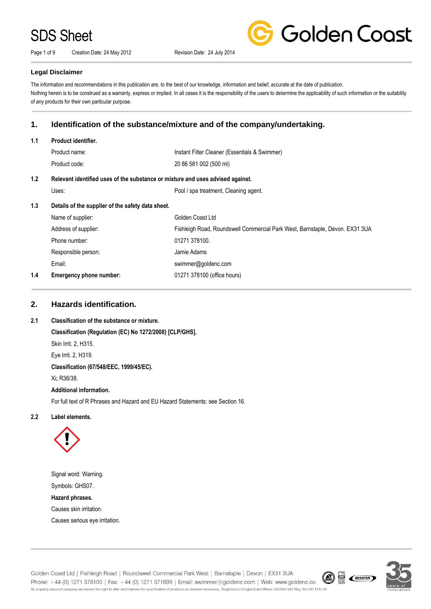Page 1 of 9 Creation Date: 24 May 2012 Revision Date: 24 July 2014



### **Legal Disclaimer**

The information and recommendations in this publication are, to the best of our knowledge, information and belief, accurate at the date of publication. Nothing herein is to be construed as a warranty, express or implied. In all cases it is the responsibility of the users to determine the applicability of such information or the suitability of any products for their own particular purpose.

# **1. Identification of the substance/mixture and of the company/undertaking.**

#### **1.1 Product identifier.**

| Product name: | Instant Filter Cleaner (Essentials & Swimmer) |
|---------------|-----------------------------------------------|
| Product code: | 20 86 581 002 (500 ml)                        |

### **1.2 Relevant identified uses of the substance or mixture and uses advised against.**

Pool / spa treatment, Cleaning agent.

### **1.3 Details of the supplier of the safety data sheet.**

| 1.4 | <b>Emergency phone number:</b> | 01271 378100 (office hours)                                                  |
|-----|--------------------------------|------------------------------------------------------------------------------|
|     | Email:                         | swimmer@goldenc.com                                                          |
|     | Responsible person:            | Jamie Adams                                                                  |
|     | Phone number:                  | 01271 378100.                                                                |
|     | Address of supplier:           | Fishleigh Road, Roundswell Commercial Park West, Barnstaple, Devon. EX31 3UA |
|     | Name of supplier:              | Golden Coast Ltd                                                             |

# **2. Hazards identification.**

### **2.1 Classification of the substance or mixture.**

**Classification (Regulation (EC) No 1272/2008) [CLP/GHS].** Skin Irrit. 2, H315. Eye Irrit. 2, H319. **Classification (67/548/EEC, 1999/45/EC).** Xi**;** R36/38. **Additional information.**

For full text of R Phrases and Hazard and EU Hazard Statements: see Section 16.

### **2.2 Label elements.**



Signal word: Warning. Symbols: GHS07. **Hazard phrases.**

Causes skin irritation.

Causes serious eye irritation.

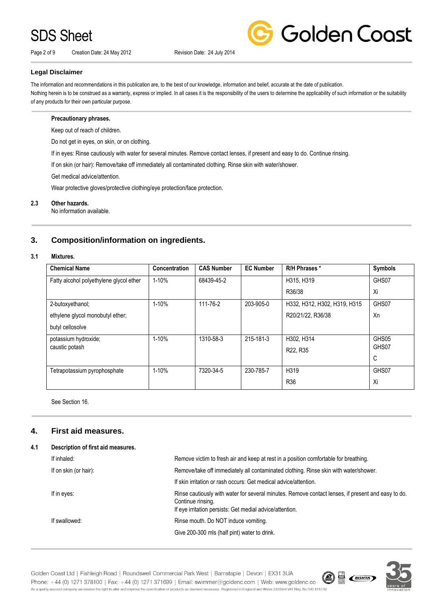Page 2 of 9 Creation Date: 24 May 2012 Revision Date: 24 July 2014



### **Legal Disclaimer**

The information and recommendations in this publication are, to the best of our knowledge, information and belief, accurate at the date of publication. Nothing herein is to be construed as a warranty, express or implied. In all cases it is the responsibility of the users to determine the applicability of such information or the suitability of any products for their own particular purpose.

### **Precautionary phrases.**

Keep out of reach of children.

Do not get in eyes, on skin, or on clothing.

If in eyes: Rinse cautiously with water for several minutes. Remove contact lenses, if present and easy to do. Continue rinsing.

If on skin (or hair): Remove/take off immediately all contaminated clothing. Rinse skin with water/shower.

Get medical advice/attention.

Wear protective gloves/protective clothing/eye protection/face protection.

### **2.3 Other hazards.**

No information available.

# **3. Composition/information on ingredients.**

### **3.1 Mixtures.**

| <b>Chemical Name</b>                    | Concentration | <b>CAS Number</b> | <b>EC Number</b> | R/H Phrases *                | <b>Symbols</b> |
|-----------------------------------------|---------------|-------------------|------------------|------------------------------|----------------|
| Fatty alcohol polyethylene glycol ether | 1-10%         | 68439-45-2        |                  | H315, H319                   | GHS07          |
|                                         |               |                   |                  | R36/38                       | Xi             |
| 2-butoxyethanol;                        | $1 - 10%$     | 111-76-2          | 203-905-0        | H332, H312, H302, H319, H315 | GHS07          |
| ethylene glycol monobutyl ether;        |               |                   |                  | R20/21/22, R36/38            | Xn             |
| butyl cellosolve                        |               |                   |                  |                              |                |
| potassium hydroxide;                    | $1 - 10%$     | 1310-58-3         | 215-181-3        | H302, H314                   | GHS05          |
| caustic potash                          |               |                   |                  | R22, R35                     | GHS07          |
|                                         |               |                   |                  |                              | C              |
| Tetrapotassium pyrophosphate            | 1-10%         | 7320-34-5         | 230-785-7        | H319                         | GHS07          |
|                                         |               |                   |                  | R <sub>36</sub>              | Xi             |

See Section 16.

# **4. First aid measures.**

### **4.1 Description of first aid measures.**

| If inhaled:           | Remove victim to fresh air and keep at rest in a position comfortable for breathing.                                                                                                |
|-----------------------|-------------------------------------------------------------------------------------------------------------------------------------------------------------------------------------|
| If on skin (or hair): | Remove/take off immediately all contaminated clothing. Rinse skin with water/shower.                                                                                                |
|                       | If skin irritation or rash occurs: Get medical advice/attention.                                                                                                                    |
| If in eyes:           | Rinse cautiously with water for several minutes. Remove contact lenses, if present and easy to do.<br>Continue rinsing.<br>If eye irritation persists: Get medial advice/attention. |
| If swallowed:         | Rinse mouth. Do NOT induce vomiting.                                                                                                                                                |
|                       | Give 200-300 mls (half pint) water to drink.                                                                                                                                        |
|                       |                                                                                                                                                                                     |



Golden Coast Ltd | Fishleigh Road | Roundswell Commercial Park West | Barnstaple | Devon | EX31 3UA Phone: +44 (0) 1271 378100 | Fax: +44 (0) 1271 371699 | Email: swimmer@goldenc.com | Web: www.goldenc.co As a quality assured company we reserve the right to alter and improve the specification of products as deemed necessary. Registered in England and Wales 2420044 VAT Reg. No 540 4110 02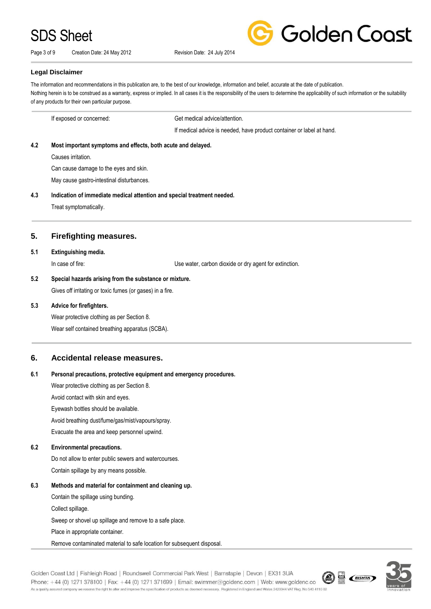Page 3 of 9 Creation Date: 24 May 2012 Revision Date: 24 July 2014



#### **Legal Disclaimer**

The information and recommendations in this publication are, to the best of our knowledge, information and belief, accurate at the date of publication. Nothing herein is to be construed as a warranty, express or implied. In all cases it is the responsibility of the users to determine the applicability of such information or the suitability of any products for their own particular purpose.

If exposed or concerned: Get medical advice/attention. If medical advice is needed, have product container or label at hand. **4.2 Most important symptoms and effects, both acute and delayed.** Causes irritation. Can cause damage to the eyes and skin. May cause gastro-intestinal disturbances. **4.3 Indication of immediate medical attention and special treatment needed.** Treat symptomatically. **5. Firefighting measures. 5.1 Extinguishing media.** In case of fire: Use water, carbon dioxide or dry agent for extinction. **5.2 Special hazards arising from the substance or mixture.** Gives off irritating or toxic fumes (or gases) in a fire.

### **5.3 Advice for firefighters.**

Wear protective clothing as per Section 8.

Wear self contained breathing apparatus (SCBA).

### **6. Accidental release measures.**

### **6.1 Personal precautions, protective equipment and emergency procedures.**

Wear protective clothing as per Section 8.

Avoid contact with skin and eyes.

Eyewash bottles should be available.

Avoid breathing dust/fume/gas/mist/vapours/spray.

Evacuate the area and keep personnel upwind.

### **6.2 Environmental precautions.**

Do not allow to enter public sewers and watercourses.

Contain spillage by any means possible.

### **6.3 Methods and material for containment and cleaning up.**

Contain the spillage using bunding.

Collect spillage.

Sweep or shovel up spillage and remove to a safe place.

Place in appropriate container.

Remove contaminated material to safe location for subsequent disposal.

Golden Coast Ltd | Fishleigh Road | Roundswell Commercial Park West | Barnstaple | Devon | EX31 3UA Phone: +44 (0) 1271 378100 | Fax: +44 (0) 1271 371699 | Email: swimmer@goldenc.com | Web: www.goldenc.co As a quality assured company we reserve the right to alter and improve the specification of products as deemed necessary. Registered in England and Wales 2420044 VAT Reg. No 540 4110 02

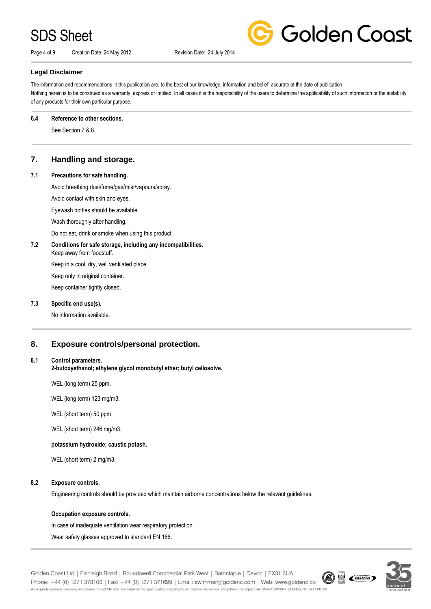Page 4 of 9 Creation Date: 24 May 2012 Revision Date: 24 July 2014



### **Legal Disclaimer**

The information and recommendations in this publication are, to the best of our knowledge, information and belief, accurate at the date of publication. Nothing herein is to be construed as a warranty, express or implied. In all cases it is the responsibility of the users to determine the applicability of such information or the suitability of any products for their own particular purpose.

#### **6.4 Reference to other sections.**

See Section 7 & 8.

# **7. Handling and storage.**

## **7.1 Precautions for safe handling.**

Avoid breathing dust/fume/gas/mist/vapours/spray.

Avoid contact with skin and eyes.

Eyewash bottles should be available.

Wash thoroughly after handling.

Do not eat, drink or smoke when using this product.

### **7.2 Conditions for safe storage, including any incompatibilities.**

Keep away from foodstuff. Keep in a cool, dry, well ventilated place.

Keep only in original container.

Keep container tightly closed.

### **7.3 Specific end use(s).**

No information available.

# **8. Exposure controls/personal protection.**

### **8.1 Control parameters.**

**2-butoxyethanol; ethylene glycol monobutyl ether; butyl cellosolve.**

WEL (long term) 25 ppm.

WEL (long term) 123 mg/m3.

WEL (short term) 50 ppm.

WEL (short term) 246 mg/m3.

### **potassium hydroxide; caustic potash.**

WEL (short term) 2 mg/m3.

### **8.2 Exposure controls.**

Engineering controls should be provided which maintain airborne concentrations below the relevant guidelines.

### **Occupation exposure controls.**

In case of inadequate ventilation wear respiratory protection.

Wear safety glasses approved to standard EN 166.

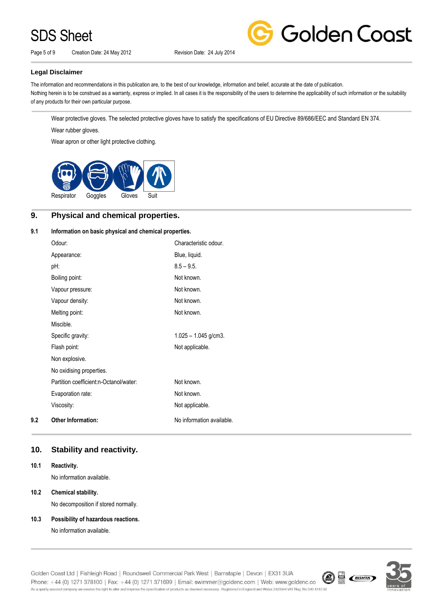Page 5 of 9 Creation Date: 24 May 2012 Revision Date: 24 July 2014



## **Legal Disclaimer**

The information and recommendations in this publication are, to the best of our knowledge, information and belief, accurate at the date of publication. Nothing herein is to be construed as a warranty, express or implied. In all cases it is the responsibility of the users to determine the applicability of such information or the suitability of any products for their own particular purpose.

Wear protective gloves. The selected protective gloves have to satisfy the specifications of EU Directive 89/686/EEC and Standard EN 374. Wear rubber gloves.

Wear apron or other light protective clothing.



# **9. Physical and chemical properties.**

### **9.1 Information on basic physical and chemical properties.**

|     | Odour:                                 | Characteristic odour.     |
|-----|----------------------------------------|---------------------------|
|     | Appearance:                            | Blue, liquid.             |
|     | pH:                                    | $8.5 - 9.5$ .             |
|     | Boiling point:                         | Not known.                |
|     | Vapour pressure:                       | Not known.                |
|     | Vapour density:                        | Not known.                |
|     | Melting point:                         | Not known.                |
|     | Miscible.                              |                           |
|     | Specific gravity:                      | $1.025 - 1.045$ g/cm3.    |
|     | Flash point:                           | Not applicable.           |
|     | Non explosive.                         |                           |
|     | No oxidising properties.               |                           |
|     | Partition coefficient:n-Octanol/water: | Not known.                |
|     | Evaporation rate:                      | Not known.                |
|     | Viscosity:                             | Not applicable.           |
| 9.2 | <b>Other Information:</b>              | No information available. |

# **10. Stability and reactivity.**

### **10.1 Reactivity.**

No information available.

### **10.2 Chemical stability.**

No decomposition if stored normally.

### **10.3 Possibility of hazardous reactions.**

No information available.



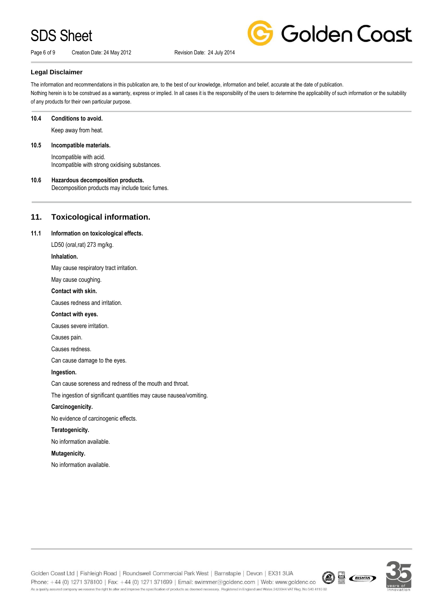Page 6 of 9 Creation Date: 24 May 2012 Revision Date: 24 July 2014



### **Legal Disclaimer**

The information and recommendations in this publication are, to the best of our knowledge, information and belief, accurate at the date of publication. Nothing herein is to be construed as a warranty, express or implied. In all cases it is the responsibility of the users to determine the applicability of such information or the suitability of any products for their own particular purpose.

#### **10.4 Conditions to avoid.**

Keep away from heat.

### **10.5 Incompatible materials.**

Incompatible with acid. Incompatible with strong oxidising substances.

### **10.6 Hazardous decomposition products.**

Decomposition products may include toxic fumes.

# **11. Toxicological information.**

### **11.1 Information on toxicological effects.**

LD50 (oral,rat) 273 mg/kg.

### **Inhalation.**

May cause respiratory tract irritation.

May cause coughing.

### **Contact with skin.**

Causes redness and irritation.

#### **Contact with eyes.**

Causes severe irritation.

Causes pain.

#### Causes redness.

Can cause damage to the eyes.

#### **Ingestion.**

Can cause soreness and redness of the mouth and throat.

The ingestion of significant quantities may cause nausea/vomiting.

### **Carcinogenicity.**

No evidence of carcinogenic effects.

### **Teratogenicity.**

No information available.

### **Mutagenicity.**

No information available.



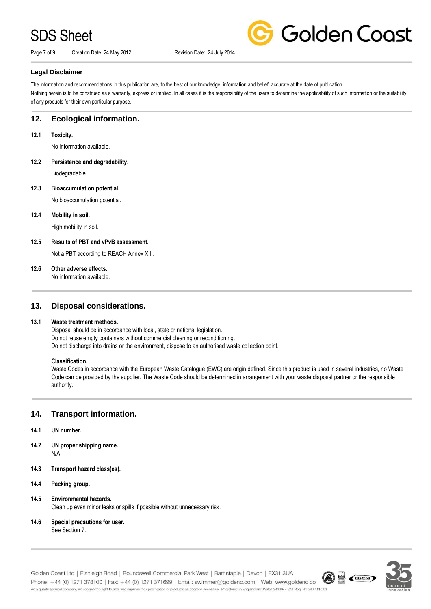Page 7 of 9 Creation Date: 24 May 2012 Revision Date: 24 July 2014



Golden Coast

### **Legal Disclaimer**

The information and recommendations in this publication are, to the best of our knowledge, information and belief, accurate at the date of publication. Nothing herein is to be construed as a warranty, express or implied. In all cases it is the responsibility of the users to determine the applicability of such information or the suitability of any products for their own particular purpose.

# **12. Ecological information.**

**12.1 Toxicity.**

No information available.

**12.2 Persistence and degradability.**

Biodegradable.

# **12.3 Bioaccumulation potential.**

No bioaccumulation potential.

## **12.4 Mobility in soil.**

High mobility in soil.

### **12.5 Results of PBT and vPvB assessment.**

Not a PBT according to REACH Annex XIII.

### **12.6 Other adverse effects.**

No information available.

# **13. Disposal considerations.**

### **13.1 Waste treatment methods.**

Disposal should be in accordance with local, state or national legislation. Do not reuse empty containers without commercial cleaning or reconditioning. Do not discharge into drains or the environment, dispose to an authorised waste collection point.

### **Classification.**

Waste Codes in accordance with the European Waste Catalogue (EWC) are origin defined. Since this product is used in several industries, no Waste Code can be provided by the supplier. The Waste Code should be determined in arrangement with your waste disposal partner or the responsible authority.

# **14. Transport information.**

- **14.1 UN number.**
- **14.2 UN proper shipping name.** N/A.
- **14.3 Transport hazard class(es).**
- **14.4 Packing group.**
- **14.5 Environmental hazards.** Clean up even minor leaks or spills if possible without unnecessary risk.
- **14.6 Special precautions for user.** See Section 7.

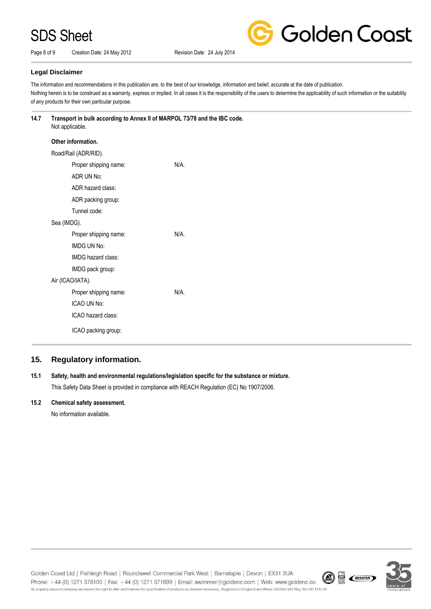Page 8 of 9 Creation Date: 24 May 2012 Revision Date: 24 July 2014



**Golden Coast** 

### **Legal Disclaimer**

The information and recommendations in this publication are, to the best of our knowledge, information and belief, accurate at the date of publication. Nothing herein is to be construed as a warranty, express or implied. In all cases it is the responsibility of the users to determine the applicability of such information or the suitability of any products for their own particular purpose.

### **14.7 Transport in bulk according to Annex II of MARPOL 73/78 and the IBC code.** Not applicable.

| Other information.    |      |  |
|-----------------------|------|--|
| Road/Rail (ADR/RID).  |      |  |
| Proper shipping name: | N/A. |  |
| ADR UN No:            |      |  |
| ADR hazard class:     |      |  |
| ADR packing group:    |      |  |
| Tunnel code:          |      |  |
| Sea (IMDG).           |      |  |
| Proper shipping name: | N/A  |  |
| IMDG UN No:           |      |  |
| IMDG hazard class:    |      |  |
| IMDG pack group:      |      |  |
| Air (ICAO/IATA).      |      |  |
| Proper shipping name: | N/A  |  |
| ICAO UN No:           |      |  |
| ICAO hazard class:    |      |  |
| ICAO packing group:   |      |  |

# **15. Regulatory information.**

# **15.1 Safety, health and environmental regulations/legislation specific for the substance or mixture.**

This Safety Data Sheet is provided in compliance with REACH Regulation (EC) No 1907/2006.

### **15.2 Chemical safety assessment.**

No information available.